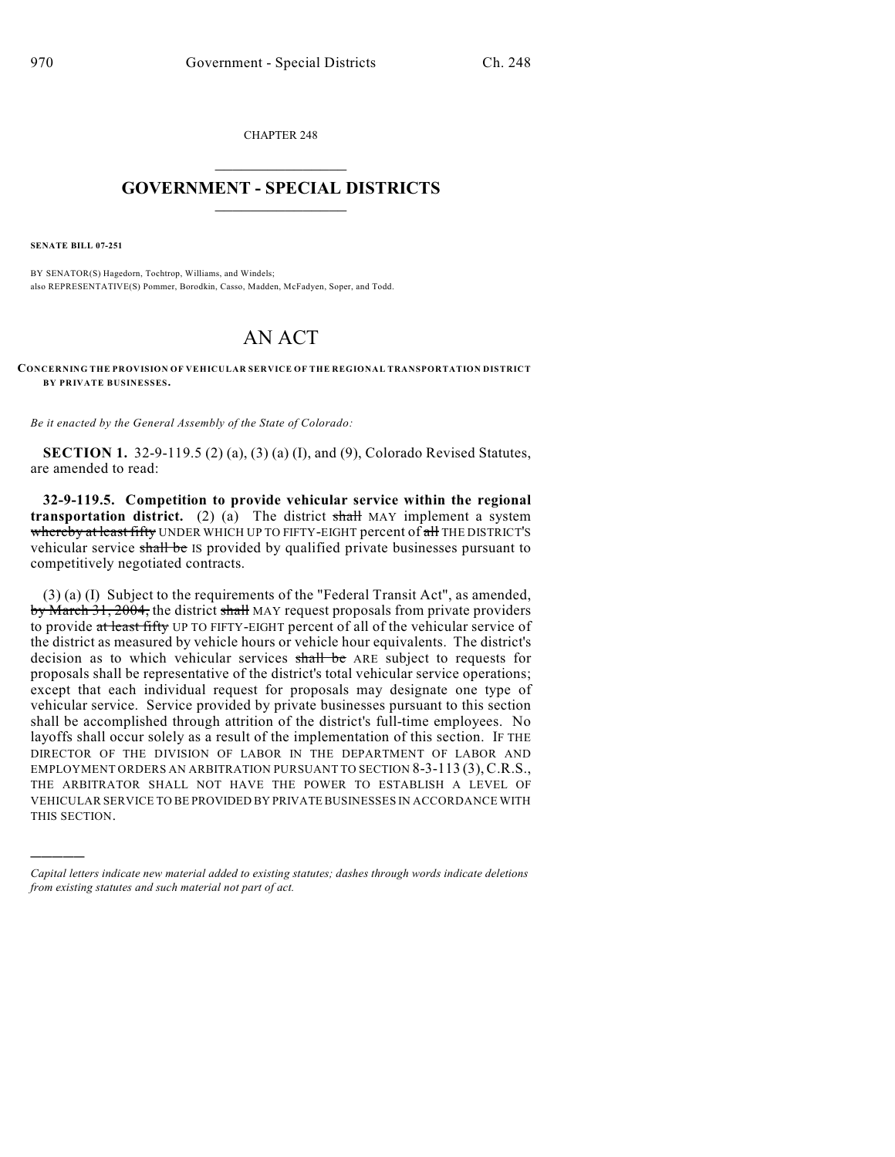CHAPTER 248  $\overline{\phantom{a}}$  . The set of the set of the set of the set of the set of the set of the set of the set of the set of the set of the set of the set of the set of the set of the set of the set of the set of the set of the set o

## **GOVERNMENT - SPECIAL DISTRICTS**  $\_$   $\_$

**SENATE BILL 07-251**

)))))

BY SENATOR(S) Hagedorn, Tochtrop, Williams, and Windels; also REPRESENTATIVE(S) Pommer, Borodkin, Casso, Madden, McFadyen, Soper, and Todd.

## AN ACT

**CONCERNING THE PROVISION OF VEHICULAR SERVICE OF THE REGIONAL TRANSPORTATION DISTRICT BY PRIVATE BUSINESSES.**

*Be it enacted by the General Assembly of the State of Colorado:*

**SECTION 1.** 32-9-119.5 (2) (a), (3) (a) (I), and (9), Colorado Revised Statutes, are amended to read:

**32-9-119.5. Competition to provide vehicular service within the regional transportation district.** (2) (a) The district  $\frac{1}{2}$  MAY implement a system whereby at least fifty UNDER WHICH UP TO FIFTY-EIGHT percent of all THE DISTRICT'S vehicular service shall be IS provided by qualified private businesses pursuant to competitively negotiated contracts.

(3) (a) (I) Subject to the requirements of the "Federal Transit Act", as amended, by March 31, 2004, the district shall MAY request proposals from private providers to provide at least fifty UP TO FIFTY-EIGHT percent of all of the vehicular service of the district as measured by vehicle hours or vehicle hour equivalents. The district's decision as to which vehicular services shall be ARE subject to requests for proposals shall be representative of the district's total vehicular service operations; except that each individual request for proposals may designate one type of vehicular service. Service provided by private businesses pursuant to this section shall be accomplished through attrition of the district's full-time employees. No layoffs shall occur solely as a result of the implementation of this section. IF THE DIRECTOR OF THE DIVISION OF LABOR IN THE DEPARTMENT OF LABOR AND EMPLOYMENT ORDERS AN ARBITRATION PURSUANT TO SECTION 8-3-113 (3),C.R.S., THE ARBITRATOR SHALL NOT HAVE THE POWER TO ESTABLISH A LEVEL OF VEHICULAR SERVICE TO BE PROVIDED BY PRIVATE BUSINESSES IN ACCORDANCE WITH THIS SECTION.

*Capital letters indicate new material added to existing statutes; dashes through words indicate deletions from existing statutes and such material not part of act.*